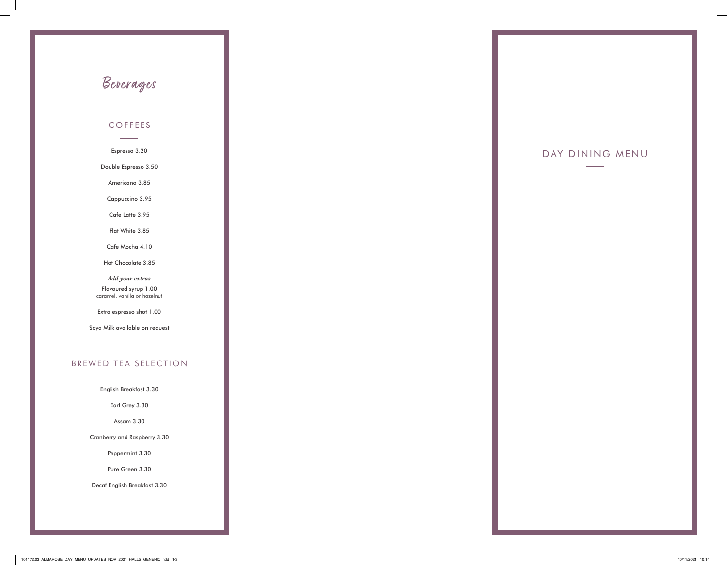#### COFFEES

Espresso 3.20

Double Espresso 3.50

Americano 3.85

Cappuccino 3.95

Cafe Latte 3.95

Flat White 3.85

Cafe Mocha 4.10

Hot Chocolate 3.85

*Add your extras* 

Flavoured syrup 1.00 caramel, vanilla or hazelnut

Extra espresso shot 1.00

Soya Milk available on request

### BREWED TEA SELECTION

English Breakfast 3.30

Earl Grey 3.30

Assam 3.30

Cranberry and Raspberry 3.30

Peppermint 3.30

Pure Green 3.30

Decaf English Breakfast 3.30

# Beverages

### DAY DINING MENU